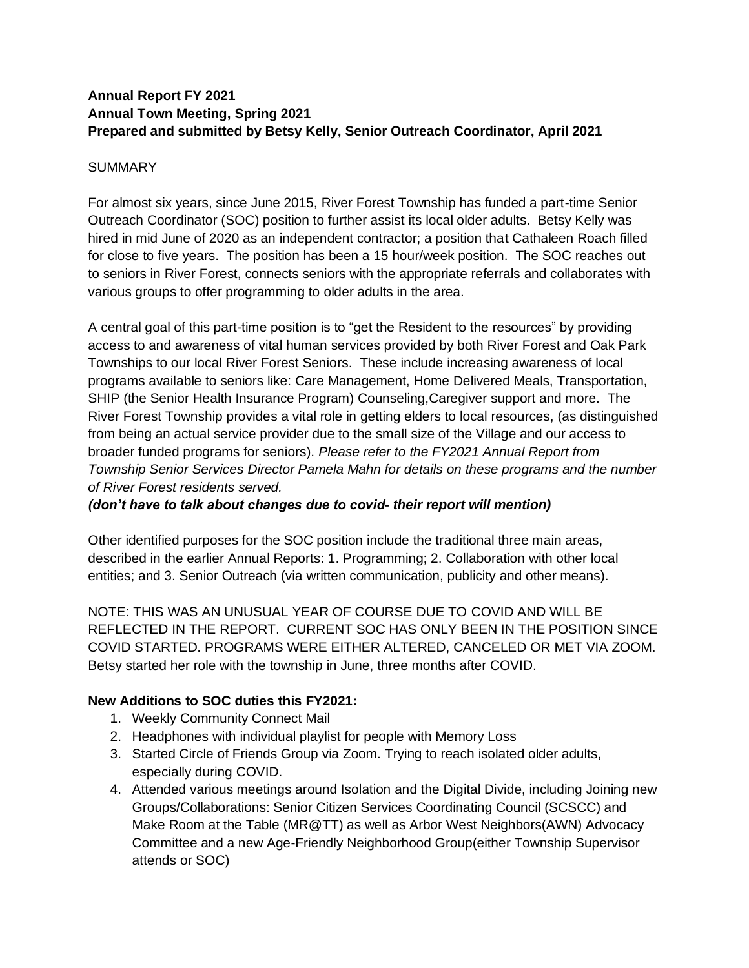### **Annual Report FY 2021 Annual Town Meeting, Spring 2021 Prepared and submitted by Betsy Kelly, Senior Outreach Coordinator, April 2021**

#### SUMMARY

For almost six years, since June 2015, River Forest Township has funded a part-time Senior Outreach Coordinator (SOC) position to further assist its local older adults. Betsy Kelly was hired in mid June of 2020 as an independent contractor; a position that Cathaleen Roach filled for close to five years. The position has been a 15 hour/week position. The SOC reaches out to seniors in River Forest, connects seniors with the appropriate referrals and collaborates with various groups to offer programming to older adults in the area.

A central goal of this part-time position is to "get the Resident to the resources" by providing access to and awareness of vital human services provided by both River Forest and Oak Park Townships to our local River Forest Seniors. These include increasing awareness of local programs available to seniors like: Care Management, Home Delivered Meals, Transportation, SHIP (the Senior Health Insurance Program) Counseling,Caregiver support and more. The River Forest Township provides a vital role in getting elders to local resources, (as distinguished from being an actual service provider due to the small size of the Village and our access to broader funded programs for seniors). *Please refer to the FY2021 Annual Report from Township Senior Services Director Pamela Mahn for details on these programs and the number of River Forest residents served.* 

#### *(don't have to talk about changes due to covid- their report will mention)*

Other identified purposes for the SOC position include the traditional three main areas, described in the earlier Annual Reports: 1. Programming; 2. Collaboration with other local entities; and 3. Senior Outreach (via written communication, publicity and other means).

NOTE: THIS WAS AN UNUSUAL YEAR OF COURSE DUE TO COVID AND WILL BE REFLECTED IN THE REPORT. CURRENT SOC HAS ONLY BEEN IN THE POSITION SINCE COVID STARTED. PROGRAMS WERE EITHER ALTERED, CANCELED OR MET VIA ZOOM. Betsy started her role with the township in June, three months after COVID.

## **New Additions to SOC duties this FY2021:**

- 1. Weekly Community Connect Mail
- 2. Headphones with individual playlist for people with Memory Loss
- 3. Started Circle of Friends Group via Zoom. Trying to reach isolated older adults, especially during COVID.
- 4. Attended various meetings around Isolation and the Digital Divide, including Joining new Groups/Collaborations: Senior Citizen Services Coordinating Council (SCSCC) and Make Room at the Table (MR@TT) as well as Arbor West Neighbors(AWN) Advocacy Committee and a new Age-Friendly Neighborhood Group(either Township Supervisor attends or SOC)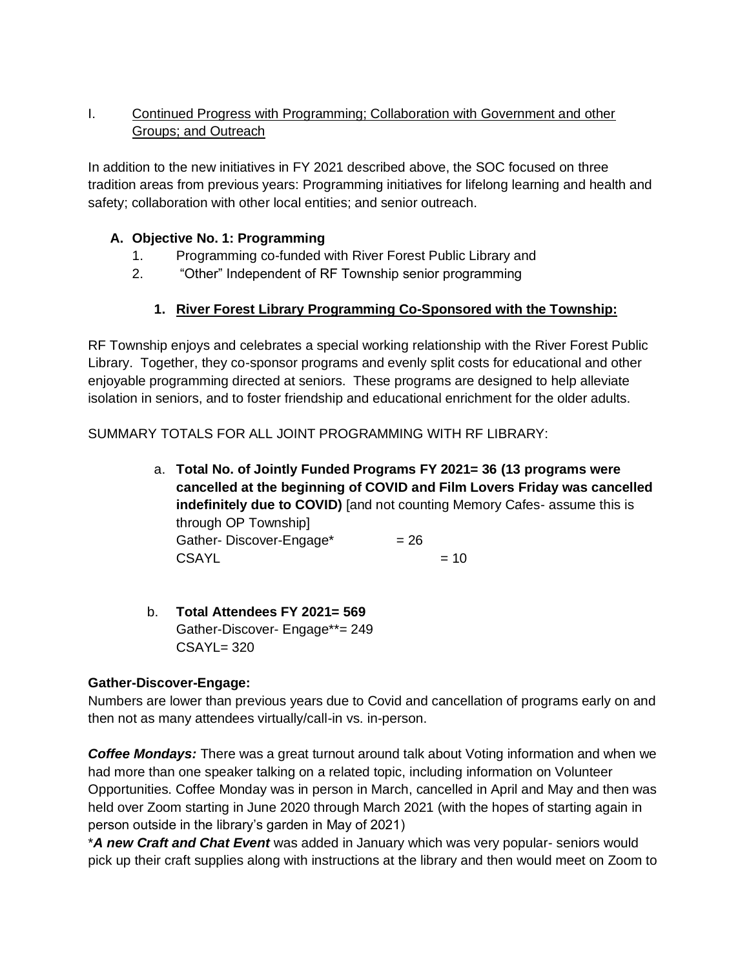# I. Continued Progress with Programming; Collaboration with Government and other Groups; and Outreach

In addition to the new initiatives in FY 2021 described above, the SOC focused on three tradition areas from previous years: Programming initiatives for lifelong learning and health and safety; collaboration with other local entities; and senior outreach.

## **A. Objective No. 1: Programming**

- 1. Programming co-funded with River Forest Public Library and
- 2. "Other" Independent of RF Township senior programming

## **1. River Forest Library Programming Co-Sponsored with the Township:**

RF Township enjoys and celebrates a special working relationship with the River Forest Public Library. Together, they co-sponsor programs and evenly split costs for educational and other enjoyable programming directed at seniors. These programs are designed to help alleviate isolation in seniors, and to foster friendship and educational enrichment for the older adults.

SUMMARY TOTALS FOR ALL JOINT PROGRAMMING WITH RF LIBRARY:

- a. **Total No. of Jointly Funded Programs FY 2021= 36 (13 programs were cancelled at the beginning of COVID and Film Lovers Friday was cancelled indefinitely due to COVID)** [and not counting Memory Cafes- assume this is through OP Township] Gather-Discover-Engage\*  $= 26$  $CSAYL = 10$
- b. **Total Attendees FY 2021= 569** Gather-Discover- Engage\*\*= 249 CSAYL= 320

## **Gather-Discover-Engage:**

Numbers are lower than previous years due to Covid and cancellation of programs early on and then not as many attendees virtually/call-in vs. in-person.

*Coffee Mondays:* There was a great turnout around talk about Voting information and when we had more than one speaker talking on a related topic, including information on Volunteer Opportunities. Coffee Monday was in person in March, cancelled in April and May and then was held over Zoom starting in June 2020 through March 2021 (with the hopes of starting again in person outside in the library's garden in May of 2021)

\**A new Craft and Chat Event* was added in January which was very popular- seniors would pick up their craft supplies along with instructions at the library and then would meet on Zoom to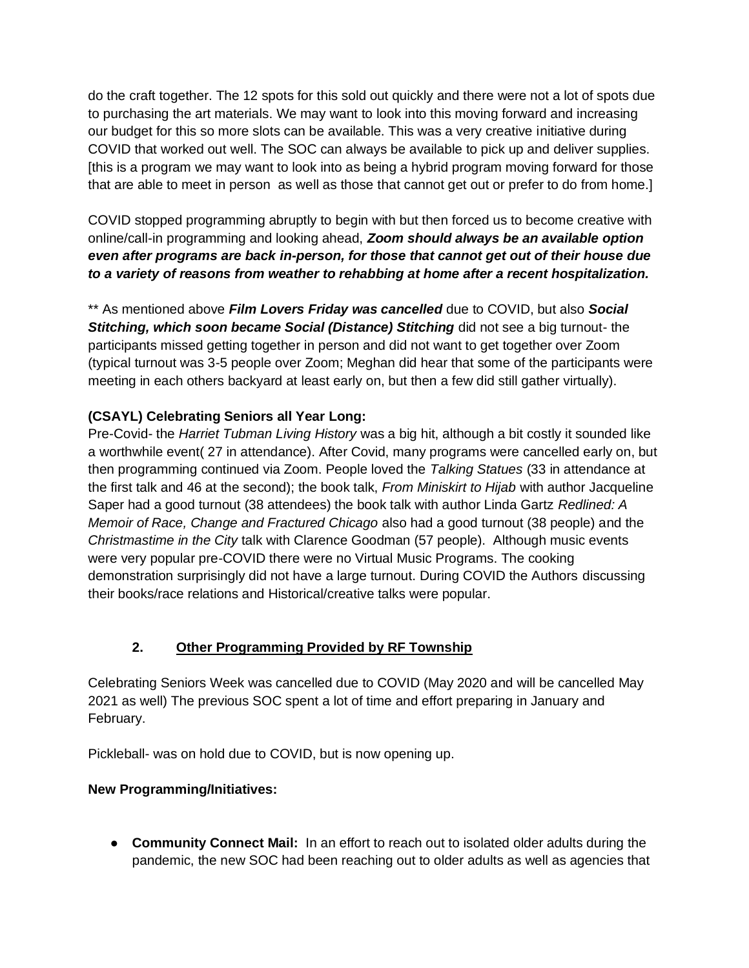do the craft together. The 12 spots for this sold out quickly and there were not a lot of spots due to purchasing the art materials. We may want to look into this moving forward and increasing our budget for this so more slots can be available. This was a very creative initiative during COVID that worked out well. The SOC can always be available to pick up and deliver supplies. [this is a program we may want to look into as being a hybrid program moving forward for those that are able to meet in person as well as those that cannot get out or prefer to do from home.]

COVID stopped programming abruptly to begin with but then forced us to become creative with online/call-in programming and looking ahead, *Zoom should always be an available option even after programs are back in-person, for those that cannot get out of their house due to a variety of reasons from weather to rehabbing at home after a recent hospitalization.*

\*\* As mentioned above *Film Lovers Friday was cancelled* due to COVID, but also *Social*  **Stitching, which soon became Social (Distance) Stitching** did not see a big turnout- the participants missed getting together in person and did not want to get together over Zoom (typical turnout was 3-5 people over Zoom; Meghan did hear that some of the participants were meeting in each others backyard at least early on, but then a few did still gather virtually).

# **(CSAYL) Celebrating Seniors all Year Long:**

Pre-Covid- the *Harriet Tubman Living History* was a big hit, although a bit costly it sounded like a worthwhile event( 27 in attendance). After Covid, many programs were cancelled early on, but then programming continued via Zoom. People loved the *Talking Statues* (33 in attendance at the first talk and 46 at the second); the book talk, *From Miniskirt to Hijab* with author Jacqueline Saper had a good turnout (38 attendees) the book talk with author Linda Gartz *Redlined: A Memoir of Race, Change and Fractured Chicago* also had a good turnout (38 people) and the *Christmastime in the City* talk with Clarence Goodman (57 people). Although music events were very popular pre-COVID there were no Virtual Music Programs. The cooking demonstration surprisingly did not have a large turnout. During COVID the Authors discussing their books/race relations and Historical/creative talks were popular.

## **2. Other Programming Provided by RF Township**

Celebrating Seniors Week was cancelled due to COVID (May 2020 and will be cancelled May 2021 as well) The previous SOC spent a lot of time and effort preparing in January and February.

Pickleball- was on hold due to COVID, but is now opening up.

## **New Programming/Initiatives:**

● **Community Connect Mail:** In an effort to reach out to isolated older adults during the pandemic, the new SOC had been reaching out to older adults as well as agencies that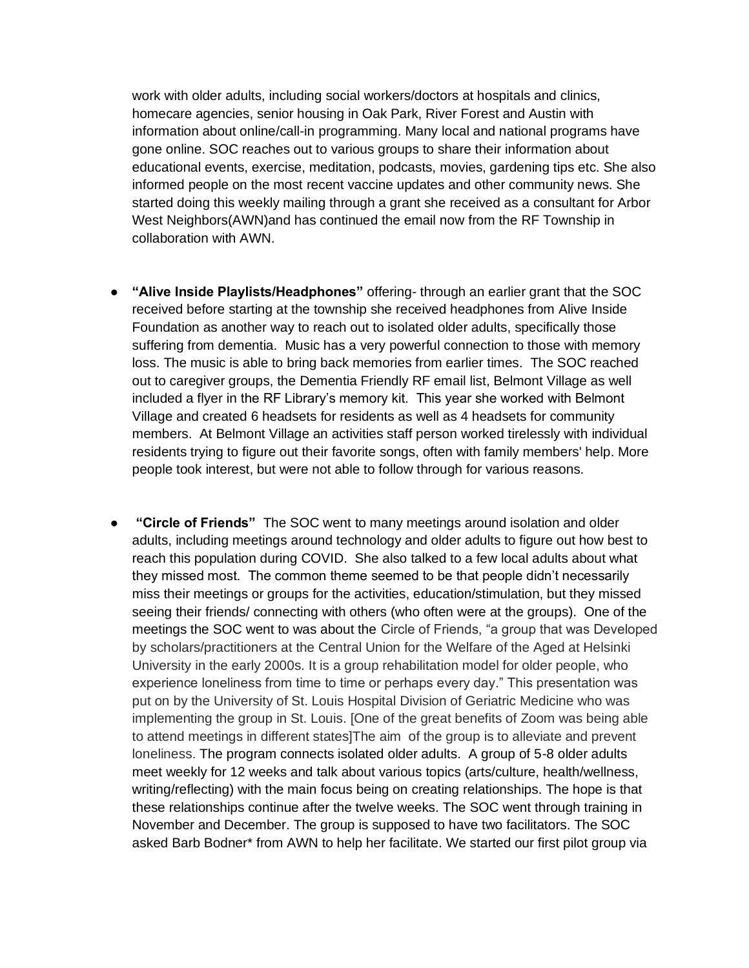work with older adults, including social workers/doctors at hospitals and clinics, homecare agencies, senior housing in Oak Park, River Forest and Austin with information about online/call-in programming. Many local and national programs have gone online. SOC reaches out to various groups to share their information about educational events, exercise, meditation, podcasts, movies, gardening tips etc. She also informed people on the most recent vaccine updates and other community news. She started doing this weekly mailing through a grant she received as a consultant for Arbor West Neighbors(AWN)and has continued the email now from the RF Township in collaboration with AWN.

- **"Alive Inside Playlists/Headphones"** offering- through an earlier grant that the SOC received before starting at the township she received headphones from Alive Inside Foundation as another way to reach out to isolated older adults, specifically those suffering from dementia. Music has a very powerful connection to those with memory loss. The music is able to bring back memories from earlier times. The SOC reached out to caregiver groups, the Dementia Friendly RF email list, Belmont Village as well included a flyer in the RF Library's memory kit. This year she worked with Belmont Village and created 6 headsets for residents as well as 4 headsets for community members. At Belmont Village an activities staff person worked tirelessly with individual residents trying to figure out their favorite songs, often with family members' help. More people took interest, but were not able to follow through for various reasons.
- **"Circle of Friends"** The SOC went to many meetings around isolation and older adults, including meetings around technology and older adults to figure out how best to reach this population during COVID. She also talked to a few local adults about what they missed most. The common theme seemed to be that people didn't necessarily miss their meetings or groups for the activities, education/stimulation, but they missed seeing their friends/ connecting with others (who often were at the groups). One of the meetings the SOC went to was about the Circle of Friends, "a group that was Developed by scholars/practitioners at the Central Union for the Welfare of the Aged at Helsinki University in the early 2000s. It is a group rehabilitation model for older people, who experience loneliness from time to time or perhaps every day." This presentation was put on by the University of St. Louis Hospital Division of Geriatric Medicine who was implementing the group in St. Louis. [One of the great benefits of Zoom was being able to attend meetings in different states]The aim of the group is to alleviate and prevent loneliness. The program connects isolated older adults. A group of 5-8 older adults meet weekly for 12 weeks and talk about various topics (arts/culture, health/wellness, writing/reflecting) with the main focus being on creating relationships. The hope is that these relationships continue after the twelve weeks. The SOC went through training in November and December. The group is supposed to have two facilitators. The SOC asked Barb Bodner\* from AWN to help her facilitate. We started our first pilot group via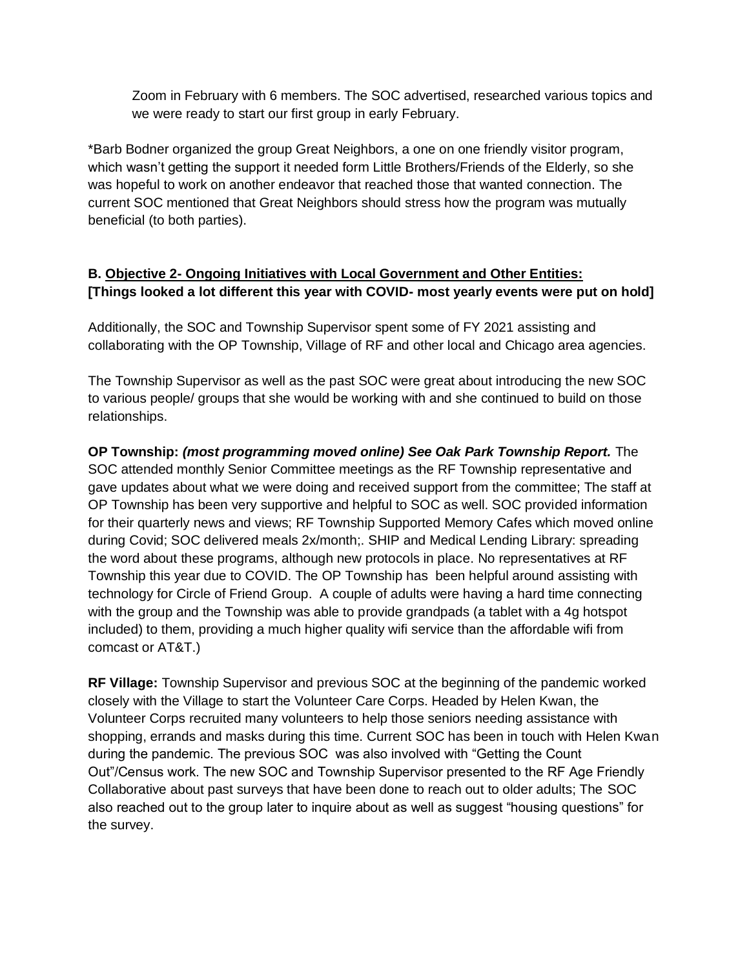Zoom in February with 6 members. The SOC advertised, researched various topics and we were ready to start our first group in early February.

\*Barb Bodner organized the group Great Neighbors, a one on one friendly visitor program, which wasn't getting the support it needed form Little Brothers/Friends of the Elderly, so she was hopeful to work on another endeavor that reached those that wanted connection. The current SOC mentioned that Great Neighbors should stress how the program was mutually beneficial (to both parties).

## **B. Objective 2- Ongoing Initiatives with Local Government and Other Entities: [Things looked a lot different this year with COVID- most yearly events were put on hold]**

Additionally, the SOC and Township Supervisor spent some of FY 2021 assisting and collaborating with the OP Township, Village of RF and other local and Chicago area agencies.

The Township Supervisor as well as the past SOC were great about introducing the new SOC to various people/ groups that she would be working with and she continued to build on those relationships.

**OP Township:** *(most programming moved online) See Oak Park Township Report.* The SOC attended monthly Senior Committee meetings as the RF Township representative and gave updates about what we were doing and received support from the committee; The staff at OP Township has been very supportive and helpful to SOC as well. SOC provided information for their quarterly news and views; RF Township Supported Memory Cafes which moved online during Covid; SOC delivered meals 2x/month;. SHIP and Medical Lending Library: spreading the word about these programs, although new protocols in place. No representatives at RF Township this year due to COVID. The OP Township has been helpful around assisting with technology for Circle of Friend Group. A couple of adults were having a hard time connecting with the group and the Township was able to provide grandpads (a tablet with a 4g hotspot included) to them, providing a much higher quality wifi service than the affordable wifi from comcast or AT&T.)

**RF Village:** Township Supervisor and previous SOC at the beginning of the pandemic worked closely with the Village to start the Volunteer Care Corps. Headed by Helen Kwan, the Volunteer Corps recruited many volunteers to help those seniors needing assistance with shopping, errands and masks during this time. Current SOC has been in touch with Helen Kwan during the pandemic. The previous SOC was also involved with "Getting the Count Out"/Census work. The new SOC and Township Supervisor presented to the RF Age Friendly Collaborative about past surveys that have been done to reach out to older adults; The SOC also reached out to the group later to inquire about as well as suggest "housing questions" for the survey.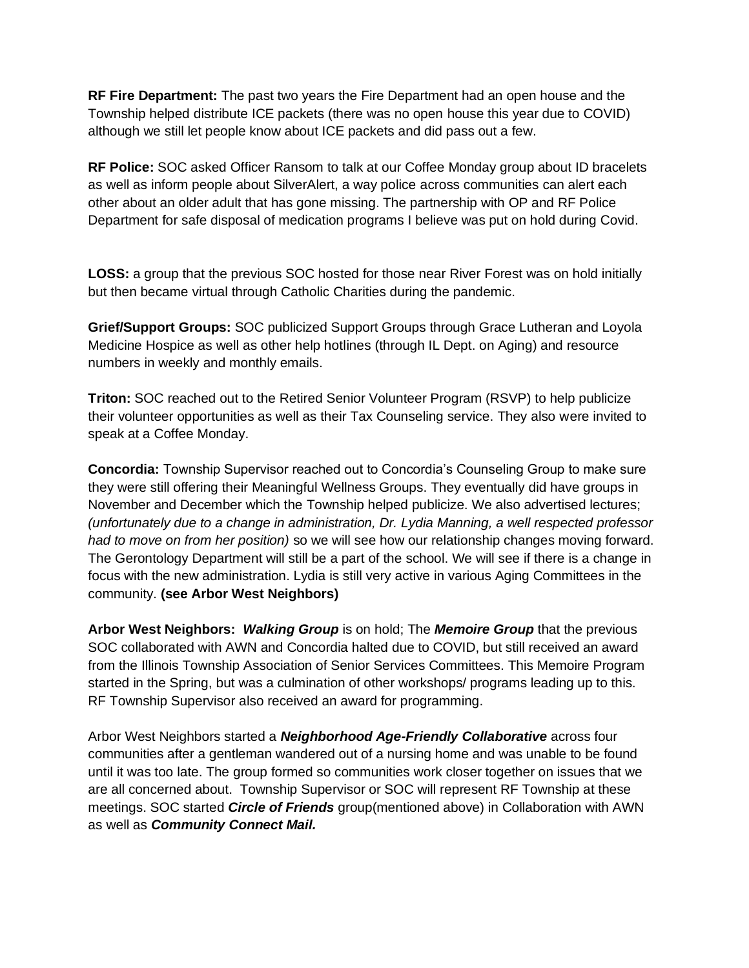**RF Fire Department:** The past two years the Fire Department had an open house and the Township helped distribute ICE packets (there was no open house this year due to COVID) although we still let people know about ICE packets and did pass out a few.

**RF Police:** SOC asked Officer Ransom to talk at our Coffee Monday group about ID bracelets as well as inform people about SilverAlert, a way police across communities can alert each other about an older adult that has gone missing. The partnership with OP and RF Police Department for safe disposal of medication programs I believe was put on hold during Covid.

**LOSS:** a group that the previous SOC hosted for those near River Forest was on hold initially but then became virtual through Catholic Charities during the pandemic.

**Grief/Support Groups:** SOC publicized Support Groups through Grace Lutheran and Loyola Medicine Hospice as well as other help hotlines (through IL Dept. on Aging) and resource numbers in weekly and monthly emails.

**Triton:** SOC reached out to the Retired Senior Volunteer Program (RSVP) to help publicize their volunteer opportunities as well as their Tax Counseling service. They also were invited to speak at a Coffee Monday.

**Concordia:** Township Supervisor reached out to Concordia's Counseling Group to make sure they were still offering their Meaningful Wellness Groups. They eventually did have groups in November and December which the Township helped publicize. We also advertised lectures; *(unfortunately due to a change in administration, Dr. Lydia Manning, a well respected professor had to move on from her position)* so we will see how our relationship changes moving forward. The Gerontology Department will still be a part of the school. We will see if there is a change in focus with the new administration. Lydia is still very active in various Aging Committees in the community. **(see Arbor West Neighbors)**

**Arbor West Neighbors:** *Walking Group* is on hold; The *Memoire Group* that the previous SOC collaborated with AWN and Concordia halted due to COVID, but still received an award from the Illinois Township Association of Senior Services Committees. This Memoire Program started in the Spring, but was a culmination of other workshops/ programs leading up to this. RF Township Supervisor also received an award for programming.

Arbor West Neighbors started a *Neighborhood Age-Friendly Collaborative* across four communities after a gentleman wandered out of a nursing home and was unable to be found until it was too late. The group formed so communities work closer together on issues that we are all concerned about. Township Supervisor or SOC will represent RF Township at these meetings. SOC started *Circle of Friends* group(mentioned above) in Collaboration with AWN as well as *Community Connect Mail.*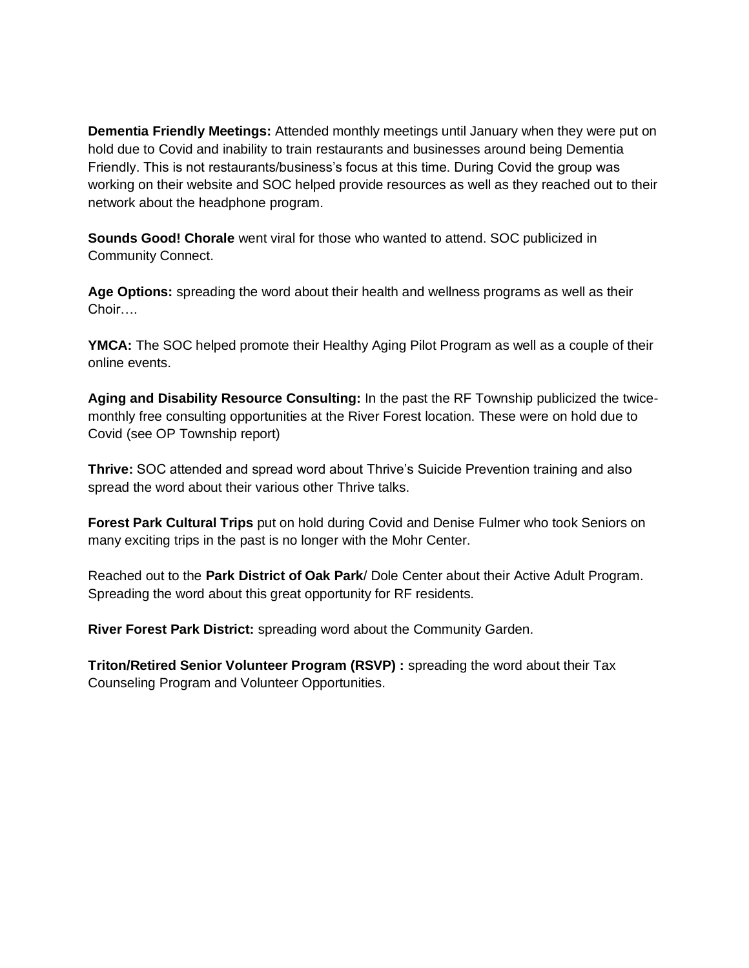**Dementia Friendly Meetings:** Attended monthly meetings until January when they were put on hold due to Covid and inability to train restaurants and businesses around being Dementia Friendly. This is not restaurants/business's focus at this time. During Covid the group was working on their website and SOC helped provide resources as well as they reached out to their network about the headphone program.

**Sounds Good! Chorale** went viral for those who wanted to attend. SOC publicized in Community Connect.

**Age Options:** spreading the word about their health and wellness programs as well as their Choir….

**YMCA:** The SOC helped promote their Healthy Aging Pilot Program as well as a couple of their online events.

**Aging and Disability Resource Consulting:** In the past the RF Township publicized the twicemonthly free consulting opportunities at the River Forest location. These were on hold due to Covid (see OP Township report)

**Thrive:** SOC attended and spread word about Thrive's Suicide Prevention training and also spread the word about their various other Thrive talks.

**Forest Park Cultural Trips** put on hold during Covid and Denise Fulmer who took Seniors on many exciting trips in the past is no longer with the Mohr Center.

Reached out to the **Park District of Oak Park**/ Dole Center about their Active Adult Program. Spreading the word about this great opportunity for RF residents.

**River Forest Park District:** spreading word about the Community Garden.

**Triton/Retired Senior Volunteer Program (RSVP) :** spreading the word about their Tax Counseling Program and Volunteer Opportunities.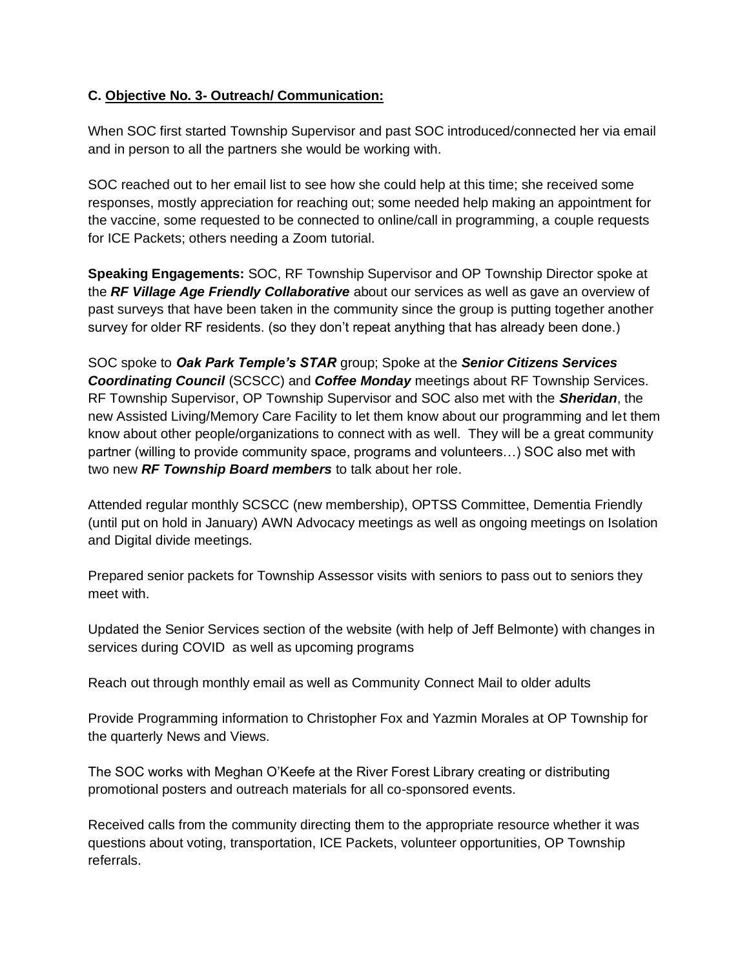### **C. Objective No. 3- Outreach/ Communication:**

When SOC first started Township Supervisor and past SOC introduced/connected her via email and in person to all the partners she would be working with.

SOC reached out to her email list to see how she could help at this time; she received some responses, mostly appreciation for reaching out; some needed help making an appointment for the vaccine, some requested to be connected to online/call in programming, a couple requests for ICE Packets; others needing a Zoom tutorial.

**Speaking Engagements:** SOC, RF Township Supervisor and OP Township Director spoke at the *RF Village Age Friendly Collaborative* about our services as well as gave an overview of past surveys that have been taken in the community since the group is putting together another survey for older RF residents. (so they don't repeat anything that has already been done.)

SOC spoke to *Oak Park Temple's STAR* group; Spoke at the *Senior Citizens Services Coordinating Council* (SCSCC) and *Coffee Monday* meetings about RF Township Services. RF Township Supervisor, OP Township Supervisor and SOC also met with the *Sheridan*, the new Assisted Living/Memory Care Facility to let them know about our programming and let them know about other people/organizations to connect with as well. They will be a great community partner (willing to provide community space, programs and volunteers…) SOC also met with two new *RF Township Board members* to talk about her role.

Attended regular monthly SCSCC (new membership), OPTSS Committee, Dementia Friendly (until put on hold in January) AWN Advocacy meetings as well as ongoing meetings on Isolation and Digital divide meetings.

Prepared senior packets for Township Assessor visits with seniors to pass out to seniors they meet with.

Updated the Senior Services section of the website (with help of Jeff Belmonte) with changes in services during COVID as well as upcoming programs

Reach out through monthly email as well as Community Connect Mail to older adults

Provide Programming information to Christopher Fox and Yazmin Morales at OP Township for the quarterly News and Views.

The SOC works with Meghan O'Keefe at the River Forest Library creating or distributing promotional posters and outreach materials for all co-sponsored events.

Received calls from the community directing them to the appropriate resource whether it was questions about voting, transportation, ICE Packets, volunteer opportunities, OP Township referrals.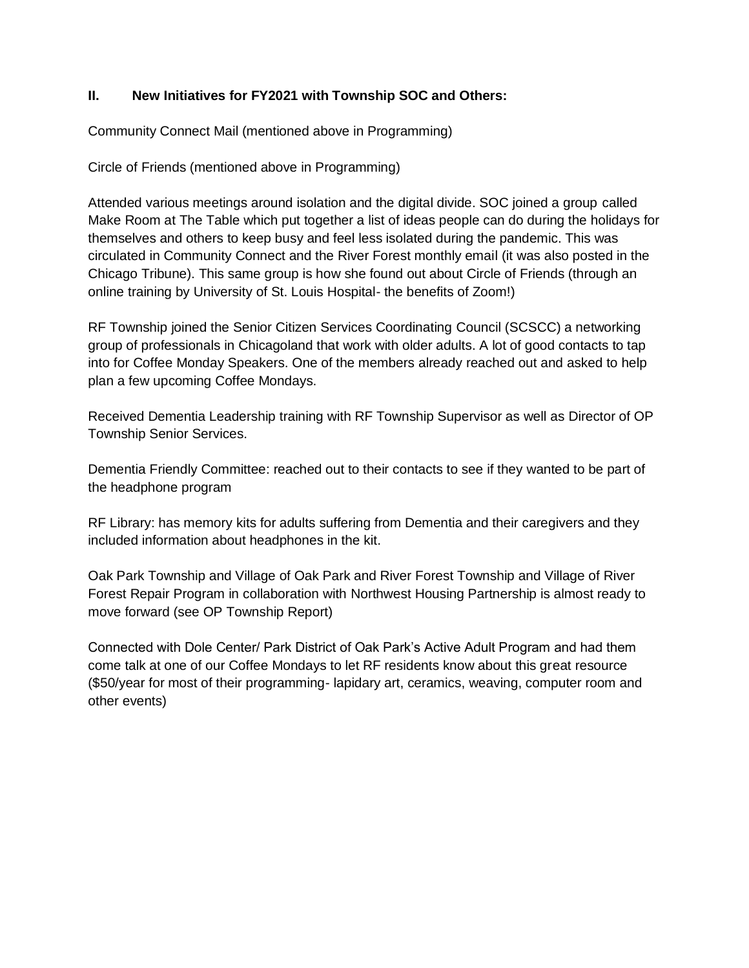### **II. New Initiatives for FY2021 with Township SOC and Others:**

Community Connect Mail (mentioned above in Programming)

Circle of Friends (mentioned above in Programming)

Attended various meetings around isolation and the digital divide. SOC joined a group called Make Room at The Table which put together a list of ideas people can do during the holidays for themselves and others to keep busy and feel less isolated during the pandemic. This was circulated in Community Connect and the River Forest monthly email (it was also posted in the Chicago Tribune). This same group is how she found out about Circle of Friends (through an online training by University of St. Louis Hospital- the benefits of Zoom!)

RF Township joined the Senior Citizen Services Coordinating Council (SCSCC) a networking group of professionals in Chicagoland that work with older adults. A lot of good contacts to tap into for Coffee Monday Speakers. One of the members already reached out and asked to help plan a few upcoming Coffee Mondays.

Received Dementia Leadership training with RF Township Supervisor as well as Director of OP Township Senior Services.

Dementia Friendly Committee: reached out to their contacts to see if they wanted to be part of the headphone program

RF Library: has memory kits for adults suffering from Dementia and their caregivers and they included information about headphones in the kit.

Oak Park Township and Village of Oak Park and River Forest Township and Village of River Forest Repair Program in collaboration with Northwest Housing Partnership is almost ready to move forward (see OP Township Report)

Connected with Dole Center/ Park District of Oak Park's Active Adult Program and had them come talk at one of our Coffee Mondays to let RF residents know about this great resource (\$50/year for most of their programming- lapidary art, ceramics, weaving, computer room and other events)